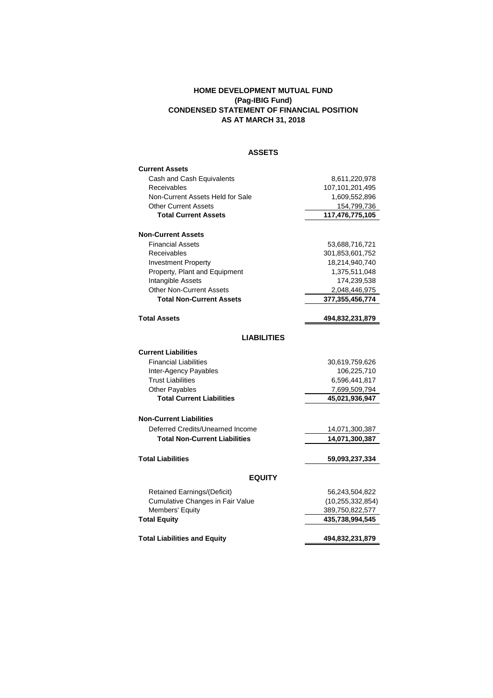## **HOME DEVELOPMENT MUTUAL FUND (Pag-IBIG Fund) CONDENSED STATEMENT OF FINANCIAL POSITION AS AT MARCH 31, 2018**

# **ASSETS**

| <b>Current Assets</b>                |                     |  |  |
|--------------------------------------|---------------------|--|--|
| Cash and Cash Equivalents            | 8,611,220,978       |  |  |
| Receivables                          | 107,101,201,495     |  |  |
| Non-Current Assets Held for Sale     | 1,609,552,896       |  |  |
| <b>Other Current Assets</b>          | 154,799,736         |  |  |
| <b>Total Current Assets</b>          | 117,476,775,105     |  |  |
| <b>Non-Current Assets</b>            |                     |  |  |
| <b>Financial Assets</b>              | 53,688,716,721      |  |  |
| Receivables                          | 301,853,601,752     |  |  |
| <b>Investment Property</b>           | 18,214,940,740      |  |  |
| Property, Plant and Equipment        | 1,375,511,048       |  |  |
| Intangible Assets                    | 174,239,538         |  |  |
| <b>Other Non-Current Assets</b>      | 2,048,446,975       |  |  |
| <b>Total Non-Current Assets</b>      | 377, 355, 456, 774  |  |  |
|                                      |                     |  |  |
| <b>Total Assets</b>                  | 494,832,231,879     |  |  |
| <b>LIABILITIES</b>                   |                     |  |  |
|                                      |                     |  |  |
| <b>Current Liabilities</b>           |                     |  |  |
| <b>Financial Liabilities</b>         | 30,619,759,626      |  |  |
| Inter-Agency Payables                | 106,225,710         |  |  |
| <b>Trust Liabilities</b>             | 6,596,441,817       |  |  |
| <b>Other Payables</b>                | 7,699,509,794       |  |  |
| <b>Total Current Liabilities</b>     | 45,021,936,947      |  |  |
| <b>Non-Current Liabilities</b>       |                     |  |  |
| Deferred Credits/Unearned Income     | 14,071,300,387      |  |  |
| <b>Total Non-Current Liabilities</b> | 14,071,300,387      |  |  |
|                                      |                     |  |  |
| <b>Total Liabilities</b>             | 59,093,237,334      |  |  |
| <b>EQUITY</b>                        |                     |  |  |
| <b>Retained Earnings/(Deficit)</b>   | 56,243,504,822      |  |  |
| Cumulative Changes in Fair Value     | (10, 255, 332, 854) |  |  |
| Members' Equity                      | 389,750,822,577     |  |  |
| <b>Total Equity</b>                  | 435,738,994,545     |  |  |
|                                      |                     |  |  |
| <b>Total Liabilities and Equity</b>  | 494,832,231,879     |  |  |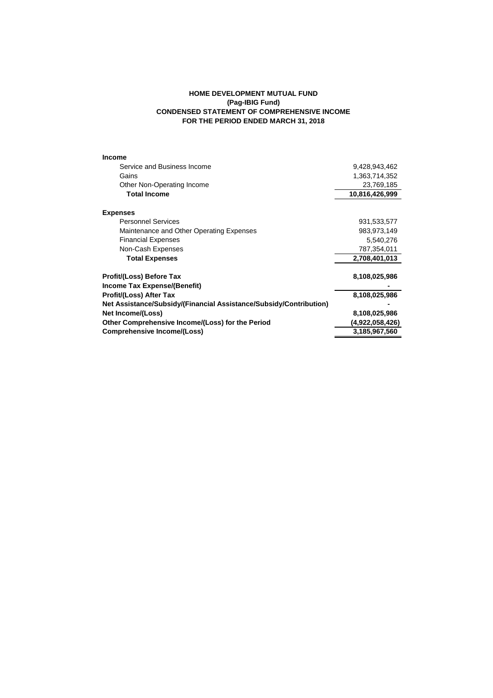## **HOME DEVELOPMENT MUTUAL FUND (Pag-IBIG Fund) CONDENSED STATEMENT OF COMPREHENSIVE INCOME FOR THE PERIOD ENDED MARCH 31, 2018**

| Income                                                             |                 |
|--------------------------------------------------------------------|-----------------|
| Service and Business Income                                        | 9,428,943,462   |
| Gains                                                              | 1,363,714,352   |
| Other Non-Operating Income                                         | 23,769,185      |
| <b>Total Income</b>                                                | 10,816,426,999  |
| <b>Expenses</b>                                                    |                 |
| <b>Personnel Services</b>                                          | 931,533,577     |
| Maintenance and Other Operating Expenses                           | 983,973,149     |
| <b>Financial Expenses</b>                                          | 5,540,276       |
| Non-Cash Expenses                                                  | 787,354,011     |
| <b>Total Expenses</b>                                              | 2,708,401,013   |
| <b>Profit/(Loss) Before Tax</b>                                    | 8,108,025,986   |
| Income Tax Expense/(Benefit)                                       |                 |
| <b>Profit/(Loss) After Tax</b>                                     | 8,108,025,986   |
| Net Assistance/Subsidy/(Financial Assistance/Subsidy/Contribution) |                 |
| Net Income/(Loss)                                                  | 8,108,025,986   |
| Other Comprehensive Income/(Loss) for the Period                   | (4,922,058,426) |
| Comprehensive Income/(Loss)                                        | 3,185,967,560   |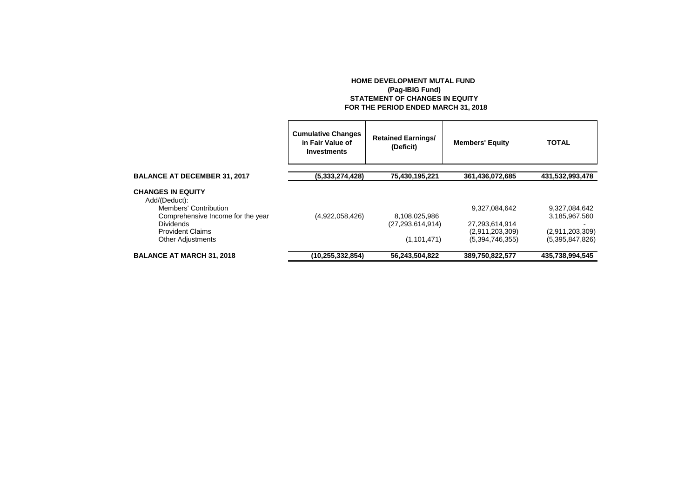### **HOME DEVELOPMENT MUTAL FUND (Pag-IBIG Fund) STATEMENT OF CHANGES IN EQUITY FOR THE PERIOD ENDED MARCH 31, 2018**

|                                                                    | <b>Cumulative Changes</b><br>in Fair Value of<br>Investments | <b>Retained Earnings/</b><br>(Deficit) | <b>Members' Equity</b>            | <b>TOTAL</b>    |
|--------------------------------------------------------------------|--------------------------------------------------------------|----------------------------------------|-----------------------------------|-----------------|
| <b>BALANCE AT DECEMBER 31, 2017</b>                                | (5,333,274,428)                                              | 75,430,195,221                         | 361,436,072,685                   | 431,532,993,478 |
| <b>CHANGES IN EQUITY</b><br>Add/(Deduct):<br>Members' Contribution |                                                              |                                        | 9,327,084,642                     | 9,327,084,642   |
| Comprehensive Income for the year                                  | (4,922,058,426)                                              | 8,108,025,986                          |                                   | 3,185,967,560   |
| <b>Dividends</b><br><b>Provident Claims</b>                        |                                                              | (27, 293, 614, 914)                    | 27,293,614,914<br>(2,911,203,309) | (2,911,203,309) |
| <b>Other Adjustments</b>                                           |                                                              | (1, 101, 471)                          | (5,394,746,355)                   | (5,395,847,826) |
| <b>BALANCE AT MARCH 31, 2018</b>                                   | (10,255,332,854)                                             | 56,243,504,822                         | 389.750.822.577                   | 435.738.994.545 |